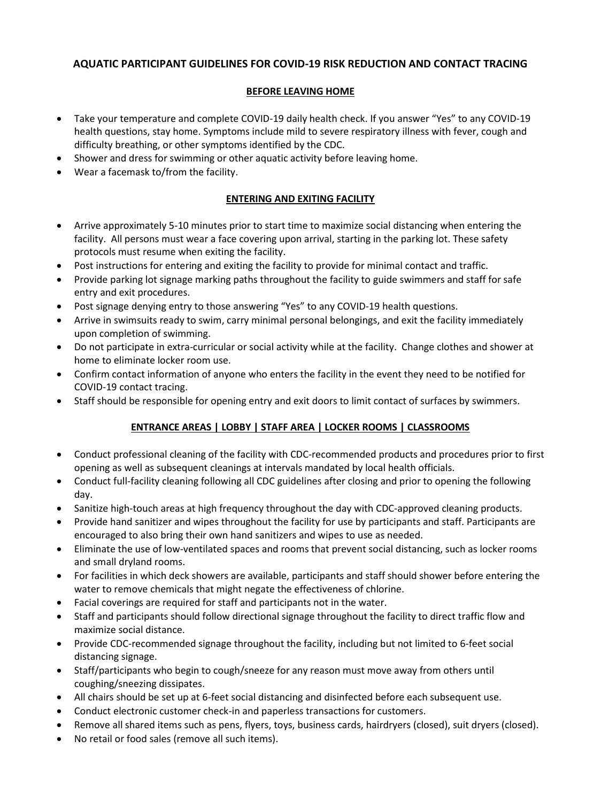# **AQUATIC PARTICIPANT GUIDELINES FOR COVID-19 RISK REDUCTION AND CONTACT TRACING**

### **BEFORE LEAVING HOME**

- Take your temperature and complete COVID-19 daily health check. If you answer "Yes" to any COVID-19 health questions, stay home. Symptoms include mild to severe respiratory illness with fever, cough and difficulty breathing, or other symptoms identified by the CDC.
- Shower and dress for swimming or other aquatic activity before leaving home.
- Wear a facemask to/from the facility.

#### **ENTERING AND EXITING FACILITY**

- Arrive approximately 5-10 minutes prior to start time to maximize social distancing when entering the facility. All persons must wear a face covering upon arrival, starting in the parking lot. These safety protocols must resume when exiting the facility.
- Post instructions for entering and exiting the facility to provide for minimal contact and traffic.
- Provide parking lot signage marking paths throughout the facility to guide swimmers and staff for safe entry and exit procedures.
- Post signage denying entry to those answering "Yes" to any COVID-19 health questions.
- Arrive in swimsuits ready to swim, carry minimal personal belongings, and exit the facility immediately upon completion of swimming.
- Do not participate in extra-curricular or social activity while at the facility. Change clothes and shower at home to eliminate locker room use.
- Confirm contact information of anyone who enters the facility in the event they need to be notified for COVID-19 contact tracing.
- Staff should be responsible for opening entry and exit doors to limit contact of surfaces by swimmers.

# **ENTRANCE AREAS | LOBBY | STAFF AREA | LOCKER ROOMS | CLASSROOMS**

- Conduct professional cleaning of the facility with CDC-recommended products and procedures prior to first opening as well as subsequent cleanings at intervals mandated by local health officials.
- Conduct full-facility cleaning following all CDC guidelines after closing and prior to opening the following day.
- Sanitize high-touch areas at high frequency throughout the day with CDC-approved cleaning products.
- Provide hand sanitizer and wipes throughout the facility for use by participants and staff. Participants are encouraged to also bring their own hand sanitizers and wipes to use as needed.
- Eliminate the use of low-ventilated spaces and rooms that prevent social distancing, such as locker rooms and small dryland rooms.
- For facilities in which deck showers are available, participants and staff should shower before entering the water to remove chemicals that might negate the effectiveness of chlorine.
- Facial coverings are required for staff and participants not in the water.
- Staff and participants should follow directional signage throughout the facility to direct traffic flow and maximize social distance.
- Provide CDC-recommended signage throughout the facility, including but not limited to 6-feet social distancing signage.
- Staff/participants who begin to cough/sneeze for any reason must move away from others until coughing/sneezing dissipates.
- All chairs should be set up at 6-feet social distancing and disinfected before each subsequent use.
- Conduct electronic customer check-in and paperless transactions for customers.
- Remove all shared items such as pens, flyers, toys, business cards, hairdryers (closed), suit dryers (closed).
- No retail or food sales (remove all such items).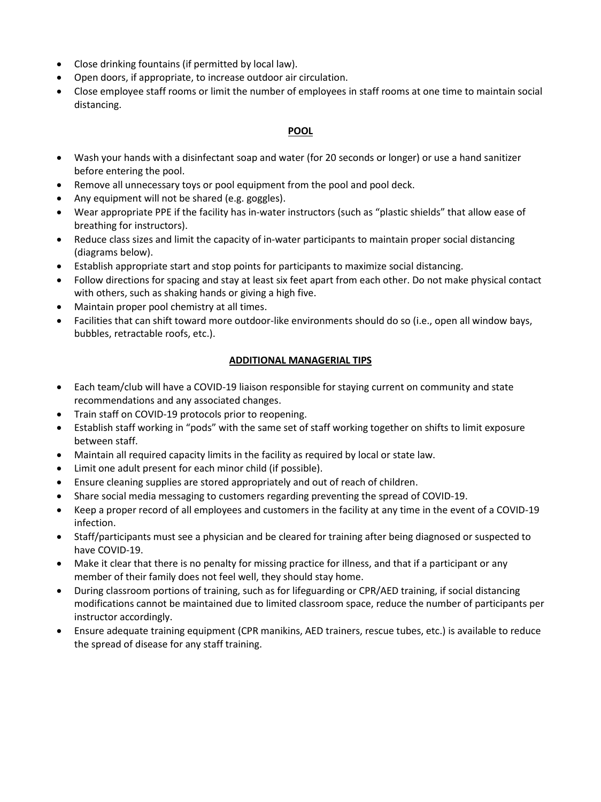- Close drinking fountains (if permitted by local law).
- Open doors, if appropriate, to increase outdoor air circulation.
- Close employee staff rooms or limit the number of employees in staff rooms at one time to maintain social distancing.

#### **POOL**

- Wash your hands with a disinfectant soap and water (for 20 seconds or longer) or use a hand sanitizer before entering the pool.
- Remove all unnecessary toys or pool equipment from the pool and pool deck.
- Any equipment will not be shared (e.g. goggles).
- Wear appropriate PPE if the facility has in-water instructors (such as "plastic shields" that allow ease of breathing for instructors).
- Reduce class sizes and limit the capacity of in-water participants to maintain proper social distancing (diagrams below).
- Establish appropriate start and stop points for participants to maximize social distancing.
- Follow directions for spacing and stay at least six feet apart from each other. Do not make physical contact with others, such as shaking hands or giving a high five.
- Maintain proper pool chemistry at all times.
- Facilities that can shift toward more outdoor-like environments should do so (i.e., open all window bays, bubbles, retractable roofs, etc.).

#### **ADDITIONAL MANAGERIAL TIPS**

- Each team/club will have a COVID-19 liaison responsible for staying current on community and state recommendations and any associated changes.
- Train staff on COVID-19 protocols prior to reopening.
- Establish staff working in "pods" with the same set of staff working together on shifts to limit exposure between staff.
- Maintain all required capacity limits in the facility as required by local or state law.
- Limit one adult present for each minor child (if possible).
- Ensure cleaning supplies are stored appropriately and out of reach of children.
- Share social media messaging to customers regarding preventing the spread of COVID-19.
- Keep a proper record of all employees and customers in the facility at any time in the event of a COVID-19 infection.
- Staff/participants must see a physician and be cleared for training after being diagnosed or suspected to have COVID-19.
- Make it clear that there is no penalty for missing practice for illness, and that if a participant or any member of their family does not feel well, they should stay home.
- During classroom portions of training, such as for lifeguarding or CPR/AED training, if social distancing modifications cannot be maintained due to limited classroom space, reduce the number of participants per instructor accordingly.
- Ensure adequate training equipment (CPR manikins, AED trainers, rescue tubes, etc.) is available to reduce the spread of disease for any staff training.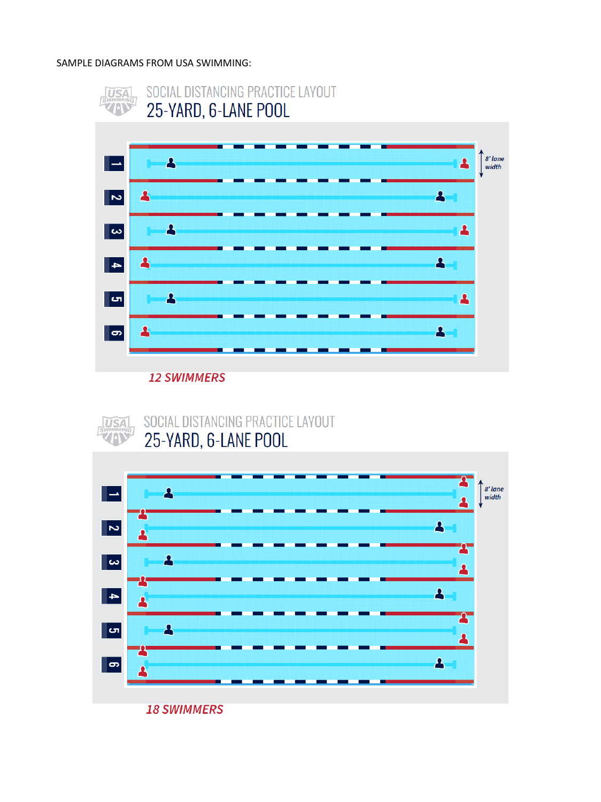#### SAMPLE DIAGRAMS FROM USA SWIMMING:



**12 SWIMMERS** 



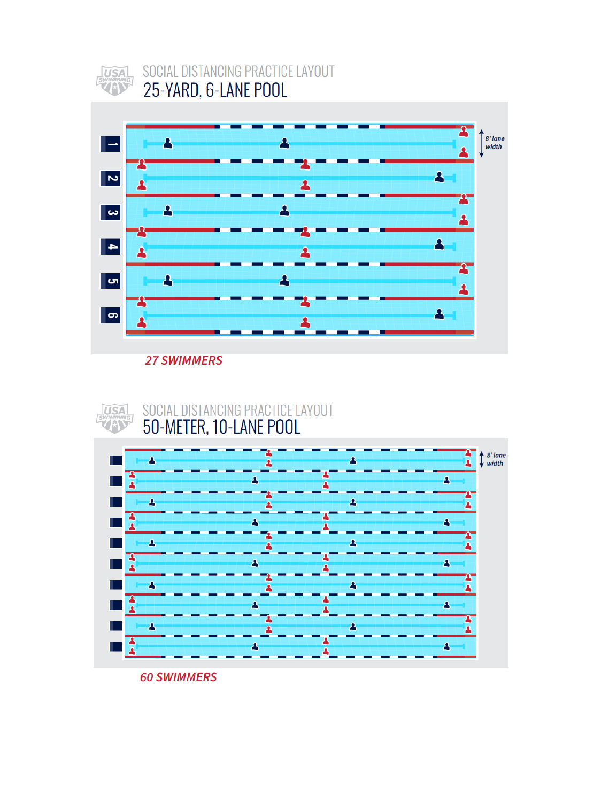

# SOCIAL DISTANCING PRACTICE LAYOUT 25-YARD, 6-LANE POOL



**27 SWIMMERS** 





**60 SWIMMERS**